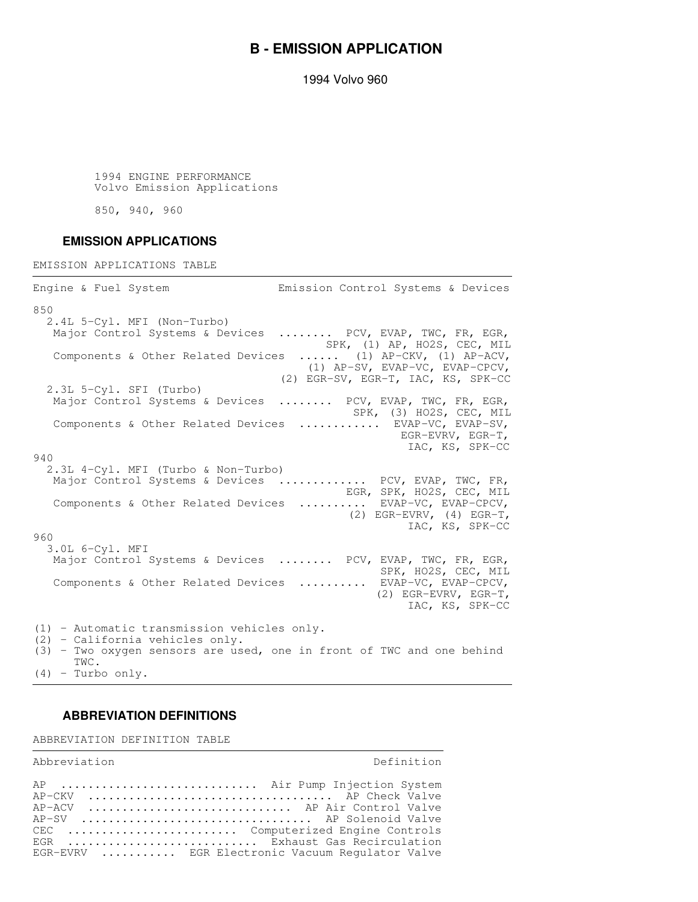## **B - EMISSION APPLICATION**

1994 Volvo 960

 1994 ENGINE PERFORMANCE Volvo Emission Applications

850, 940, 960

## **EMISSION APPLICATIONS**

EMISSION APPLICATIONS TABLE

Engine & Fuel System Emission Control Systems & Devices 850 2.4L 5-Cyl. MFI (Non-Turbo) Major Control Systems & Devices ........ PCV, EVAP, TWC, FR, EGR, SPK, (1) AP, HO2S, CEC, MIL Components & Other Related Devices ...... (1) AP-CKV, (1) AP-ACV, (1) AP-SV, EVAP-VC, EVAP-CPCV, (2) EGR-SV, EGR-T, IAC, KS, SPK-CC 2.3L 5-Cyl. SFI (Turbo) Major Control Systems & Devices ........ PCV, EVAP, TWC, FR, EGR, SPK, (3) HO2S, CEC, MIL Components & Other Related Devices ............ EVAP-VC, EVAP-SV, EGR-EVRV, EGR-T, IAC, KS, SPK-CC 940 2.3L 4-Cyl. MFI (Turbo & Non-Turbo) Major Control Systems & Devices ............. PCV, EVAP, TWC, FR, EGR, SPK, HO2S, CEC, MIL Components & Other Related Devices .......... EVAP-VC, EVAP-CPCV, (2) EGR-EVRV, (4) EGR-T, IAC, KS, SPK-CC 960 3.0L 6-Cyl. MFI Major Control Systems & Devices ........ PCV, EVAP, TWC, FR, EGR,<br>SPK, HO2S, CEC, MIL SPK, HO2S, CEC, MIL Components & Other Related Devices .......... EVAP-VC, EVAP-CPCV, (2) EGR-EVRV, EGR-T, IAC, KS, SPK-CC (1) - Automatic transmission vehicles only. (2) - California vehicles only. (3) - Two oxygen sensors are used, one in front of TWC and one behind TWC. (4) - Turbo only.

## **ABBREVIATION DEFINITIONS**

ABBREVIATION DEFINITION TABLE

Abbreviation and Definition AP .............................. Air Pump Injection System AP-CKV .................................... AP Check Valve AP-ACV ............................. AP Air Control Valve AP-SV .................................. AP Solenoid Valve CEC ......................... Computerized Engine Controls EGR .............................. Exhaust Gas Recirculation EGR-EVRV ........... EGR Electronic Vacuum Regulator Valve